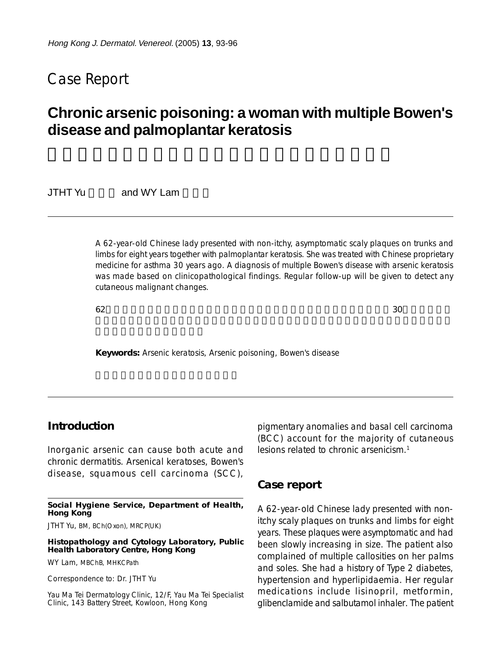## Case Report

# **Chronic arsenic poisoning: a woman with multiple Bowen's disease and palmoplantar keratosis**

JTHT Yu and WY Lam

A 62-year-old Chinese lady presented with non-itchy, asymptomatic scaly plaques on trunks and limbs for eight years together with palmoplantar keratosis. She was treated with Chinese proprietary medicine for asthma 30 years ago. A diagnosis of multiple Bowen's disease with arsenic keratosis was made based on clinicopathological findings. Regular follow-up will be given to detect any cutaneous malignant changes.

 $62$ 

**Keywords:** Arsenic keratosis, Arsenic poisoning, Bowen's disease

#### **Introduction**

Inorganic arsenic can cause both acute and chronic dermatitis. Arsenical keratoses, Bowen's disease, squamous cell carcinoma (SCC),

**Social Hygiene Service, Department of Health, Hong Kong**

JTHT Yu, BM, BCh(Oxon), MRCP(UK)

**Histopathology and Cytology Laboratory, Public Health Laboratory Centre, Hong Kong**

WY Lam, MBChB, MHKCPath

Correspondence to: Dr. JTHT Yu

Yau Ma Tei Dermatology Clinic, 12/F, Yau Ma Tei Specialist Clinic, 143 Battery Street, Kowloon, Hong Kong

pigmentary anomalies and basal cell carcinoma (BCC) account for the majority of cutaneous lesions related to chronic arsenicism.<sup>1</sup>

#### **Case report**

A 62-year-old Chinese lady presented with nonitchy scaly plaques on trunks and limbs for eight years. These plaques were asymptomatic and had been slowly increasing in size. The patient also complained of multiple callosities on her palms and soles. She had a history of Type 2 diabetes, hypertension and hyperlipidaemia. Her regular medications include lisinopril, metformin, glibenclamide and salbutamol inhaler. The patient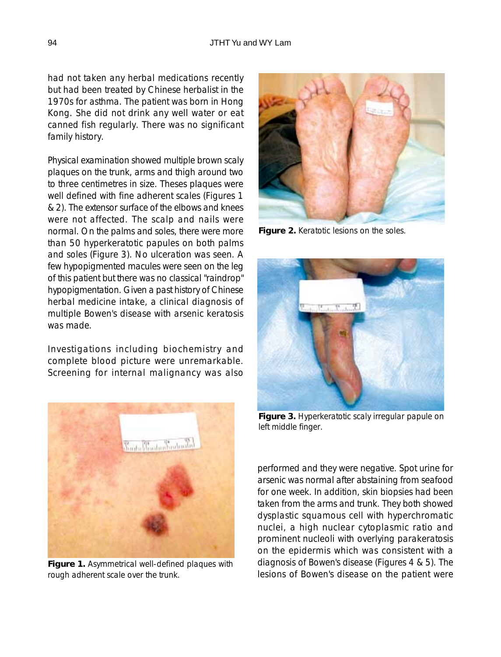had not taken any herbal medications recently but had been treated by Chinese herbalist in the 1970s for asthma. The patient was born in Hong Kong. She did not drink any well water or eat canned fish regularly. There was no significant family history.

Physical examination showed multiple brown scaly plaques on the trunk, arms and thigh around two to three centimetres in size. Theses plaques were well defined with fine adherent scales (Figures 1 & 2). The extensor surface of the elbows and knees were not affected. The scalp and nails were normal. On the palms and soles, there were more than 50 hyperkeratotic papules on both palms and soles (Figure 3). No ulceration was seen. A few hypopigmented macules were seen on the leg of this patient but there was no classical "raindrop" hypopigmentation. Given a past history of Chinese herbal medicine intake, a clinical diagnosis of multiple Bowen's disease with arsenic keratosis was made.

Investigations including biochemistry and complete blood picture were unremarkable. Screening for internal malignancy was also



**Figure 1.** Asymmetrical well-defined plaques with rough adherent scale over the trunk.



**Figure 2.** Keratotic lesions on the soles.



**Figure 3.** Hyperkeratotic scaly irregular papule on left middle finger.

performed and they were negative. Spot urine for arsenic was normal after abstaining from seafood for one week. In addition, skin biopsies had been taken from the arms and trunk. They both showed dysplastic squamous cell with hyperchromatic nuclei, a high nuclear cytoplasmic ratio and prominent nucleoli with overlying parakeratosis on the epidermis which was consistent with a diagnosis of Bowen's disease (Figures 4 & 5). The lesions of Bowen's disease on the patient were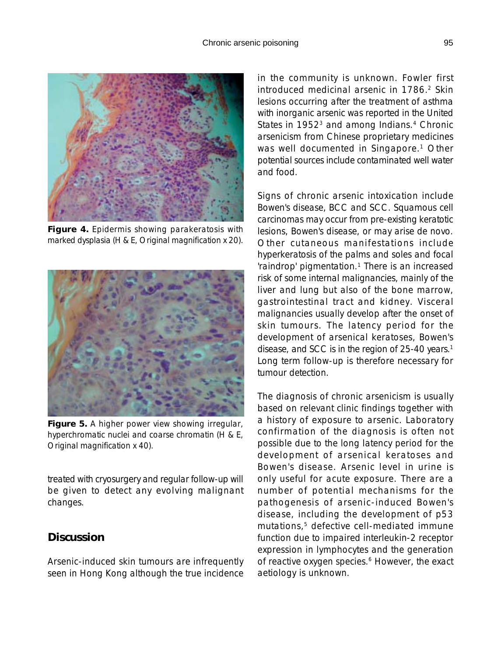

**Figure 4.** Epidermis showing parakeratosis with marked dysplasia (H & E, Original magnification x 20).



**Figure 5.** A higher power view showing irregular, hyperchromatic nuclei and coarse chromatin (H & E, Original magnification x 40).

treated with cryosurgery and regular follow-up will be given to detect any evolving malignant changes.

## **Discussion**

Arsenic-induced skin tumours are infrequently seen in Hong Kong although the true incidence

in the community is unknown. Fowler first introduced medicinal arsenic in 1786.<sup>2</sup> Skin lesions occurring after the treatment of asthma with inorganic arsenic was reported in the United States in 1952<sup>3</sup> and among Indians.<sup>4</sup> Chronic arsenicism from Chinese proprietary medicines was well documented in Singapore.<sup>1</sup> Other potential sources include contaminated well water and food.

Signs of chronic arsenic intoxication include Bowen's disease, BCC and SCC. Squamous cell carcinomas may occur from pre-existing keratotic lesions, Bowen's disease, or may arise de novo. Other cutaneous manifestations include hyperkeratosis of the palms and soles and focal 'raindrop' pigmentation.1 There is an increased risk of some internal malignancies, mainly of the liver and lung but also of the bone marrow, gastrointestinal tract and kidney. Visceral malignancies usually develop after the onset of skin tumours. The latency period for the development of arsenical keratoses, Bowen's disease, and SCC is in the region of 25-40 years.<sup>1</sup> Long term follow-up is therefore necessary for tumour detection.

The diagnosis of chronic arsenicism is usually based on relevant clinic findings together with a history of exposure to arsenic. Laboratory confirmation of the diagnosis is often not possible due to the long latency period for the development of arsenical keratoses and Bowen's disease. Arsenic level in urine is only useful for acute exposure. There are a number of potential mechanisms for the pathogenesis of arsenic-induced Bowen's disease, including the development of p53 mutations,<sup>5</sup> defective cell-mediated immune function due to impaired interleukin-2 receptor expression in lymphocytes and the generation of reactive oxygen species.<sup>6</sup> However, the exact aetiology is unknown.